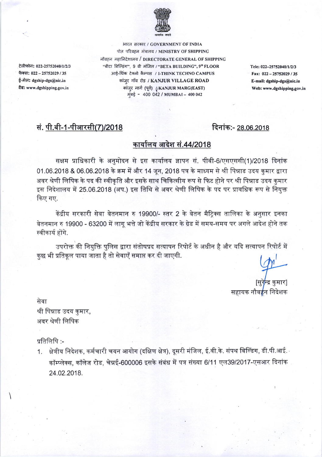

भारत सरकार / GOVERNMENT OF INDIA पोत परिवहन मंत्रालय / MINISTRY OF SHIPPING नौवहन महानिदेशालय / DIRECTORATE GENERAL OF SHIPPING "बीटा बिल्डिंग", 9 वी मंजिल / "BETA BUILDING", 9" FLOOR आई-थिंक टेक्नो कैम्पस / I-THINK TECHNO CAMPUS कांज़्र गाँव रोड / KANJUR VILLAGE ROAD कांजुर मार्ग (पूर्व) //KANJUR MARG(EAST) मुंबई - 400 042 / MUMBAI - 400 042

Tele: 022-25752040/1/2/3 Fax: 022-25752029/35 E-mail: dgship-dgs@nic.in Web: www.dgshipping.gov.in

दिनांक: - 28.06.2018

## सं. <u>पी.बी-1-पीआरसी(7)/2018</u>

टेलीफोन: 022-25752040/1/2/3

फैक्स: 022 - 25752029 / 35

ई-मेल: dgship-dgs@nic.in

वैब: www.dgshipping.gov.in

## कार्यालय आदेश सं.44/2018

सक्षम प्राधिकारी के अनुमोदन से इस कार्यालय ज्ञापन सं. पीबी-6/एसएससी(1)/2018 दिनांक 01.06.2018 & 06.06.2018 के क्रम में और 14 जून, 2018 पत्र के माध्यम से श्री पिन्नाड उदय कुमार द्वारा अवर श्रेणी लिपिक के पद की स्वीकृति और इसके साथ चिकित्सीय रूप से फिट होने पर श्री पिन्नाड उदय कुमार इस निदेशालय में 25.06.2018 (अप.) इस तिथि से अवर श्रेणी लिपिक के पद पर प्रावधिक रूप से नियुक्त किए गए.

केंद्रीय सरकारी सेवा वेतनमान रु 19900/- स्तर 2 के वेतन मैट्रिक्स तालिका के अनुसार इनका वेतनमान रु 19900 - 63200 में लागू भत्ते जो केंद्रीय सरकार के ग्रेड में समय-समय पर अगले आदेश होने तक स्वीकार्य होंगे.

उपरोक्त की नियुक्ति पुलिस द्वारा संतोषप्रद सत्यापन रिपोर्ट के अधीन है और यदि सत्यापन रिपोर्ट में कुछ भी प्रतिकूल पाया जाता है तो सेवाएँ समाप्त कर दी जाएगी.

[सुरेन्द्र कुमार] सहायक नौव**ई**न निदेशक

सेवा श्री पिन्नाड उदय कुमार, अंवर श्रेणी लिपिक

प्रतिलिपि :-

1. क्षेत्रीय निदेशक, कर्मचारी चयन आयोग (दक्षिण क्षेत्र), दूसरी मंजिल, ई.वी.के. संपथ बिल्डिंग, डी.पी.आई. कॉम्प्लेक्स, कॉलेज रोड, चेन्नई-600006 इसके संबंध में पत्र संख्या 6/11 एल39/2017-एसआर दिनांक 24.02.2018.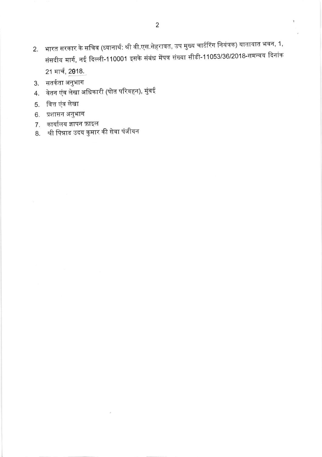- 2. भारत सरकार के सचिव (ध्यानार्थ: श्री वी.एस.सेहरावत, उप मुख्य चार्टरिंग नियंत्रक) यातायात भवन, 1, संसदीय मार्ग, नई दिल्ली-110001 इसके संबंध मेंपत्र संख्या सीडी-11053/36/2018-समन्वय दिनांक 21 मार्च, 2018.
- 3. सतर्कता अनुभाग
- 4. वेतन एंव लेखा अधिकारी (पोत परिवहन), मुंबई
- 5. वित्त एंव लेखा
- 6. प्रशासन अनुभाग
- 7. कार्यालय ज्ञापन फ़ाइल
- 8. श्री पिन्नाड उदय कुमार की सेवा पंजीयन